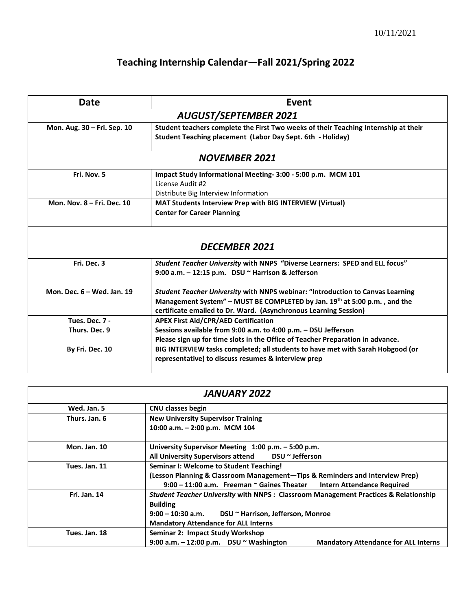## **Teaching Internship Calendar—Fall 2021/Spring 2022**

| Event                                                                                                                                             |  |  |  |
|---------------------------------------------------------------------------------------------------------------------------------------------------|--|--|--|
| <b>AUGUST/SEPTEMBER 2021</b>                                                                                                                      |  |  |  |
| Student teachers complete the First Two weeks of their Teaching Internship at their<br>Student Teaching placement (Labor Day Sept. 6th - Holiday) |  |  |  |
| <b>NOVEMBER 2021</b>                                                                                                                              |  |  |  |
| Impact Study Informational Meeting- 3:00 - 5:00 p.m. MCM 101                                                                                      |  |  |  |
| License Audit #2                                                                                                                                  |  |  |  |
| Distribute Big Interview Information                                                                                                              |  |  |  |
| MAT Students Interview Prep with BIG INTERVIEW (Virtual)                                                                                          |  |  |  |
| <b>Center for Career Planning</b>                                                                                                                 |  |  |  |
| <b>DECEMBER 2021</b><br>Student Teacher University with NNPS "Diverse Learners: SPED and ELL focus"                                               |  |  |  |
| 9:00 a.m. $-$ 12:15 p.m. DSU $\sim$ Harrison & Jefferson                                                                                          |  |  |  |
| Student Teacher University with NNPS webinar: "Introduction to Canvas Learning                                                                    |  |  |  |
| Management System" - MUST BE COMPLETED by Jan. 19th at 5:00 p.m., and the<br>certificate emailed to Dr. Ward. (Asynchronous Learning Session)     |  |  |  |
| <b>APEX First Aid/CPR/AED Certification</b>                                                                                                       |  |  |  |
| Sessions available from 9:00 a.m. to 4:00 p.m. - DSU Jefferson                                                                                    |  |  |  |
| Please sign up for time slots in the Office of Teacher Preparation in advance.                                                                    |  |  |  |
| BIG INTERVIEW tasks completed; all students to have met with Sarah Hobgood (or                                                                    |  |  |  |
| representative) to discuss resumes & interview prep                                                                                               |  |  |  |
|                                                                                                                                                   |  |  |  |

| <b>JANUARY 2022</b> |                                                                                               |  |
|---------------------|-----------------------------------------------------------------------------------------------|--|
| Wed. Jan. 5         | <b>CNU classes begin</b>                                                                      |  |
| Thurs. Jan. 6       | <b>New University Supervisor Training</b>                                                     |  |
|                     | 10:00 a.m. $-$ 2:00 p.m. MCM 104                                                              |  |
| <b>Mon. Jan. 10</b> | University Supervisor Meeting 1:00 p.m. - 5:00 p.m.                                           |  |
|                     | All University Supervisors attend DSU ~ Jefferson                                             |  |
| Tues. Jan. 11       | Seminar I: Welcome to Student Teaching!                                                       |  |
|                     | (Lesson Planning & Classroom Management-Tips & Reminders and Interview Prep)                  |  |
|                     | 9:00 - 11:00 a.m. Freeman ~ Gaines Theater Intern Attendance Required                         |  |
| Fri. Jan. 14        | Student Teacher University with NNPS: Classroom Management Practices & Relationship           |  |
|                     | <b>Building</b>                                                                               |  |
|                     | $9:00 - 10:30$ a.m.<br>DSU ~ Harrison, Jefferson, Monroe                                      |  |
|                     | <b>Mandatory Attendance for ALL Interns</b>                                                   |  |
| Tues. Jan. 18       | Seminar 2: Impact Study Workshop                                                              |  |
|                     | 9:00 a.m. $-$ 12:00 p.m. DSU $\sim$ Washington<br><b>Mandatory Attendance for ALL Interns</b> |  |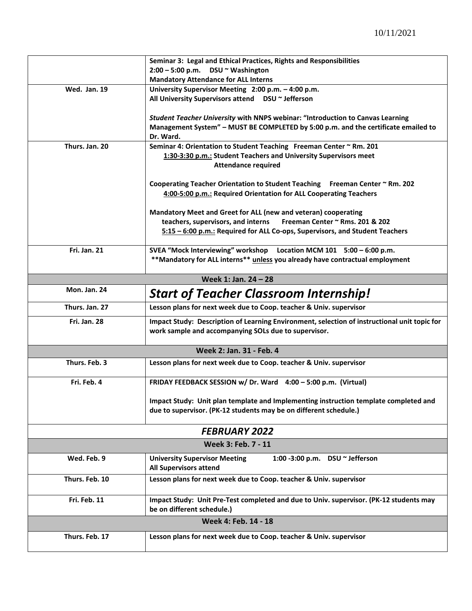|                     | Seminar 3: Legal and Ethical Practices, Rights and Responsibilities                                                                               |
|---------------------|---------------------------------------------------------------------------------------------------------------------------------------------------|
|                     | $2:00 - 5:00$ p.m. DSU $\sim$ Washington                                                                                                          |
|                     | <b>Mandatory Attendance for ALL Interns</b>                                                                                                       |
| <b>Wed. Jan. 19</b> | University Supervisor Meeting 2:00 p.m. - 4:00 p.m.                                                                                               |
|                     | All University Supervisors attend  DSU ~ Jefferson                                                                                                |
|                     |                                                                                                                                                   |
|                     | Student Teacher University with NNPS webinar: "Introduction to Canvas Learning                                                                    |
|                     | Management System" - MUST BE COMPLETED by 5:00 p.m. and the certificate emailed to                                                                |
|                     | Dr. Ward.                                                                                                                                         |
| Thurs. Jan. 20      | Seminar 4: Orientation to Student Teaching Freeman Center ~ Rm. 201                                                                               |
|                     | 1:30-3:30 p.m.: Student Teachers and University Supervisors meet                                                                                  |
|                     | <b>Attendance required</b>                                                                                                                        |
|                     |                                                                                                                                                   |
|                     | Cooperating Teacher Orientation to Student Teaching Freeman Center ~ Rm. 202<br>4:00-5:00 p.m.: Required Orientation for ALL Cooperating Teachers |
|                     |                                                                                                                                                   |
|                     | Mandatory Meet and Greet for ALL (new and veteran) cooperating                                                                                    |
|                     | teachers, supervisors, and interns<br>Freeman Center ~ Rms. 201 & 202                                                                             |
|                     | 5:15 - 6:00 p.m.: Required for ALL Co-ops, Supervisors, and Student Teachers                                                                      |
|                     |                                                                                                                                                   |
| Fri. Jan. 21        | SVEA "Mock Interviewing" workshop  Location MCM 101  5:00 - 6:00 p.m.                                                                             |
|                     | **Mandatory for ALL interns** unless you already have contractual employment                                                                      |
|                     |                                                                                                                                                   |
|                     | Week 1: Jan. 24 - 28                                                                                                                              |
| Mon. Jan. 24        | <b>Start of Teacher Classroom Internship!</b>                                                                                                     |
|                     |                                                                                                                                                   |
| Thurs. Jan. 27      | Lesson plans for next week due to Coop. teacher & Univ. supervisor                                                                                |
| Fri. Jan. 28        | Impact Study: Description of Learning Environment, selection of instructional unit topic for                                                      |
|                     |                                                                                                                                                   |
|                     | work sample and accompanying SOLs due to supervisor.                                                                                              |
|                     |                                                                                                                                                   |
|                     | Week 2: Jan. 31 - Feb. 4                                                                                                                          |
| Thurs. Feb. 3       | Lesson plans for next week due to Coop. teacher & Univ. supervisor                                                                                |
|                     |                                                                                                                                                   |
| Fri. Feb. 4         | FRIDAY FEEDBACK SESSION w/ Dr. Ward 4:00 - 5:00 p.m. (Virtual)                                                                                    |
|                     |                                                                                                                                                   |
|                     | Impact Study: Unit plan template and Implementing instruction template completed and                                                              |
|                     | due to supervisor. (PK-12 students may be on different schedule.)                                                                                 |
|                     |                                                                                                                                                   |
|                     | <b>FEBRUARY 2022</b>                                                                                                                              |
|                     | Week 3: Feb. 7 - 11                                                                                                                               |
| Wed. Feb. 9         | <b>University Supervisor Meeting</b><br>1:00 -3:00 p.m. DSU $\sim$ Jefferson                                                                      |
|                     | <b>All Supervisors attend</b>                                                                                                                     |
| Thurs. Feb. 10      |                                                                                                                                                   |
|                     | Lesson plans for next week due to Coop. teacher & Univ. supervisor                                                                                |
|                     |                                                                                                                                                   |
| Fri. Feb. 11        | Impact Study: Unit Pre-Test completed and due to Univ. supervisor. (PK-12 students may<br>be on different schedule.)                              |
|                     |                                                                                                                                                   |
|                     | Week 4: Feb. 14 - 18                                                                                                                              |
| Thurs. Feb. 17      | Lesson plans for next week due to Coop. teacher & Univ. supervisor                                                                                |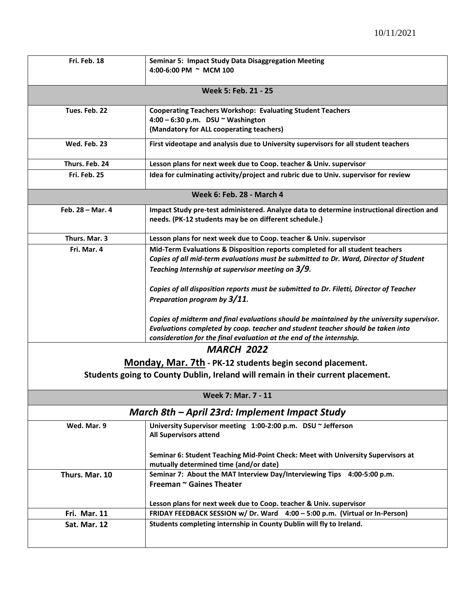| Fri. Feb. 18                                                                     | <b>Seminar 5: Impact Study Data Disaggregation Meeting</b><br>4:00-6:00 PM ~ MCM 100                                                                                                                                                                  |  |  |
|----------------------------------------------------------------------------------|-------------------------------------------------------------------------------------------------------------------------------------------------------------------------------------------------------------------------------------------------------|--|--|
| Week 5: Feb. 21 - 25                                                             |                                                                                                                                                                                                                                                       |  |  |
| Tues. Feb. 22                                                                    | <b>Cooperating Teachers Workshop: Evaluating Student Teachers</b><br>$4:00 - 6:30$ p.m. DSU ~ Washington<br>(Mandatory for ALL cooperating teachers)                                                                                                  |  |  |
| Wed. Feb. 23                                                                     | First videotape and analysis due to University supervisors for all student teachers                                                                                                                                                                   |  |  |
| Thurs. Feb. 24                                                                   | Lesson plans for next week due to Coop. teacher & Univ. supervisor                                                                                                                                                                                    |  |  |
| Fri. Feb. 25                                                                     | Idea for culminating activity/project and rubric due to Univ. supervisor for review                                                                                                                                                                   |  |  |
|                                                                                  | <b>Week 6: Feb. 28 - March 4</b>                                                                                                                                                                                                                      |  |  |
| Feb. $28 -$ Mar. 4                                                               | Impact Study pre-test administered. Analyze data to determine instructional direction and<br>needs. (PK-12 students may be on different schedule.)                                                                                                    |  |  |
| Thurs. Mar. 3                                                                    | Lesson plans for next week due to Coop. teacher & Univ. supervisor                                                                                                                                                                                    |  |  |
| Fri. Mar. 4                                                                      | Mid-Term Evaluations & Disposition reports completed for all student teachers<br>Copies of all mid-term evaluations must be submitted to Dr. Ward, Director of Student<br>Teaching Internship at supervisor meeting on 3/9.                           |  |  |
|                                                                                  | Copies of all disposition reports must be submitted to Dr. Filetti, Director of Teacher<br>Preparation program by 3/11.                                                                                                                               |  |  |
|                                                                                  | Copies of midterm and final evaluations should be maintained by the university supervisor.<br>Evaluations completed by coop. teacher and student teacher should be taken into<br>consideration for the final evaluation at the end of the internship. |  |  |
|                                                                                  | <b>MARCH 2022</b>                                                                                                                                                                                                                                     |  |  |
|                                                                                  | Monday, Mar. 7th - PK-12 students begin second placement.                                                                                                                                                                                             |  |  |
| Students going to County Dublin, Ireland will remain in their current placement. |                                                                                                                                                                                                                                                       |  |  |
|                                                                                  | <b>Week 7: Mar. 7 - 11</b>                                                                                                                                                                                                                            |  |  |
|                                                                                  | March 8th - April 23rd: Implement Impact Study                                                                                                                                                                                                        |  |  |
| Wed. Mar. 9                                                                      | University Supervisor meeting 1:00-2:00 p.m. DSU ~ Jefferson<br><b>All Supervisors attend</b>                                                                                                                                                         |  |  |
|                                                                                  | Seminar 6: Student Teaching Mid-Point Check: Meet with University Supervisors at<br>mutually determined time (and/or date)                                                                                                                            |  |  |
| Thurs. Mar. 10                                                                   | Seminar 7: About the MAT Interview Day/Interviewing Tips 4:00-5:00 p.m.<br>Freeman ~ Gaines Theater                                                                                                                                                   |  |  |
|                                                                                  | Lesson plans for next week due to Coop. teacher & Univ. supervisor                                                                                                                                                                                    |  |  |
| Fri. Mar. 11                                                                     | FRIDAY FEEDBACK SESSION w/ Dr. Ward 4:00 - 5:00 p.m. (Virtual or In-Person)                                                                                                                                                                           |  |  |
| Sat. Mar. 12                                                                     | Students completing internship in County Dublin will fly to Ireland.                                                                                                                                                                                  |  |  |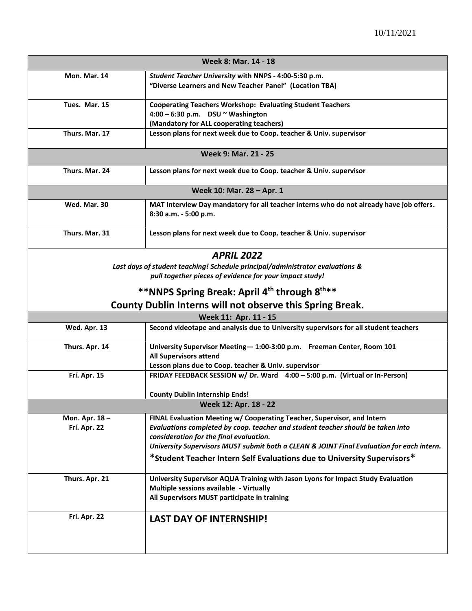| <b>Week 8: Mar. 14 - 18</b> |                                                                                                                                     |  |  |  |
|-----------------------------|-------------------------------------------------------------------------------------------------------------------------------------|--|--|--|
| Mon. Mar. 14                | Student Teacher University with NNPS - 4:00-5:30 p.m.                                                                               |  |  |  |
|                             | "Diverse Learners and New Teacher Panel" (Location TBA)                                                                             |  |  |  |
| Tues. Mar. 15               | <b>Cooperating Teachers Workshop: Evaluating Student Teachers</b>                                                                   |  |  |  |
|                             | $4:00 - 6:30$ p.m. DSU $\sim$ Washington                                                                                            |  |  |  |
|                             | (Mandatory for ALL cooperating teachers)                                                                                            |  |  |  |
| Thurs. Mar. 17              | Lesson plans for next week due to Coop. teacher & Univ. supervisor                                                                  |  |  |  |
|                             |                                                                                                                                     |  |  |  |
| Week 9: Mar. 21 - 25        |                                                                                                                                     |  |  |  |
| Thurs. Mar. 24              | Lesson plans for next week due to Coop. teacher & Univ. supervisor                                                                  |  |  |  |
|                             | Week 10: Mar. 28 - Apr. 1                                                                                                           |  |  |  |
| Wed. Mar. 30                | MAT Interview Day mandatory for all teacher interns who do not already have job offers.                                             |  |  |  |
|                             | 8:30 a.m. - 5:00 p.m.                                                                                                               |  |  |  |
| Thurs. Mar. 31              | Lesson plans for next week due to Coop. teacher & Univ. supervisor                                                                  |  |  |  |
|                             |                                                                                                                                     |  |  |  |
|                             | <b>APRIL 2022</b>                                                                                                                   |  |  |  |
|                             | Last days of student teaching! Schedule principal/administrator evaluations &                                                       |  |  |  |
|                             | pull together pieces of evidence for your impact study!                                                                             |  |  |  |
|                             | **NNPS Spring Break: April 4 <sup>th</sup> through 8 <sup>th**</sup>                                                                |  |  |  |
|                             | County Dublin Interns will not observe this Spring Break.                                                                           |  |  |  |
|                             | Week 11: Apr. 11 - 15                                                                                                               |  |  |  |
| Wed. Apr. 13                | Second videotape and analysis due to University supervisors for all student teachers                                                |  |  |  |
|                             |                                                                                                                                     |  |  |  |
| Thurs. Apr. 14              | University Supervisor Meeting-1:00-3:00 p.m. Freeman Center, Room 101                                                               |  |  |  |
|                             | <b>All Supervisors attend</b>                                                                                                       |  |  |  |
| Fri. Apr. 15                | Lesson plans due to Coop. teacher & Univ. supervisor<br>FRIDAY FEEDBACK SESSION w/ Dr. Ward 4:00 - 5:00 p.m. (Virtual or In-Person) |  |  |  |
|                             |                                                                                                                                     |  |  |  |
|                             | <b>County Dublin Internship Ends!</b>                                                                                               |  |  |  |
|                             | Week 12: Apr. 18 - 22                                                                                                               |  |  |  |
| Mon. Apr. 18-               | FINAL Evaluation Meeting w/ Cooperating Teacher, Supervisor, and Intern                                                             |  |  |  |
| Fri. Apr. 22                | Evaluations completed by coop. teacher and student teacher should be taken into                                                     |  |  |  |
|                             | consideration for the final evaluation.                                                                                             |  |  |  |
|                             | University Supervisors MUST submit both a CLEAN & JOINT Final Evaluation for each intern.                                           |  |  |  |
|                             | *Student Teacher Intern Self Evaluations due to University Supervisors*                                                             |  |  |  |
| Thurs. Apr. 21              | University Supervisor AQUA Training with Jason Lyons for Impact Study Evaluation                                                    |  |  |  |
|                             | Multiple sessions available - Virtually                                                                                             |  |  |  |
|                             | All Supervisors MUST participate in training                                                                                        |  |  |  |
|                             |                                                                                                                                     |  |  |  |
| Fri. Apr. 22                | <b>LAST DAY OF INTERNSHIP!</b>                                                                                                      |  |  |  |
|                             |                                                                                                                                     |  |  |  |
|                             |                                                                                                                                     |  |  |  |
|                             |                                                                                                                                     |  |  |  |